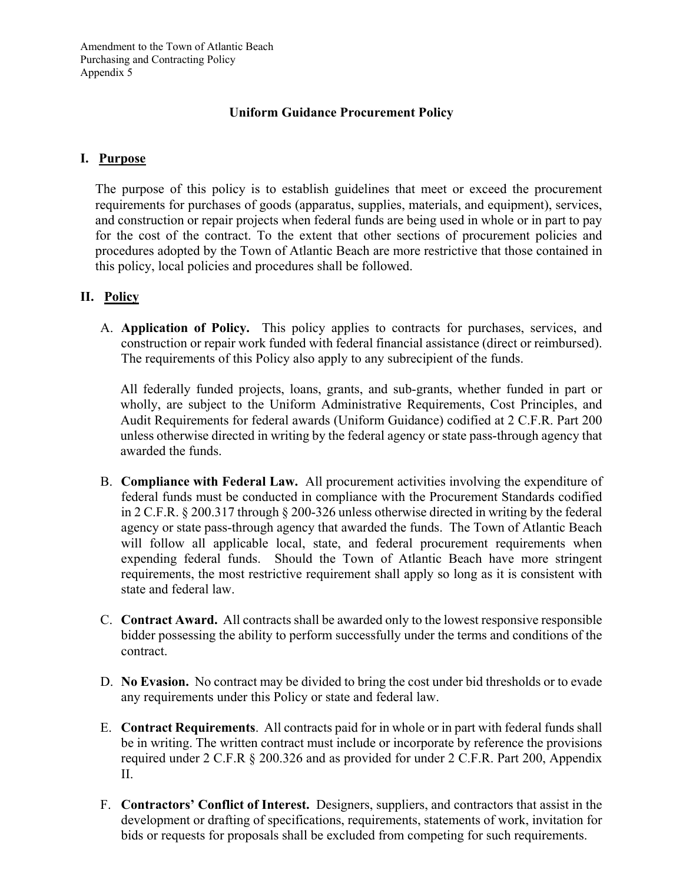# **Uniform Guidance Procurement Policy**

### **I. Purpose**

The purpose of this policy is to establish guidelines that meet or exceed the procurement requirements for purchases of goods (apparatus, supplies, materials, and equipment), services, and construction or repair projects when federal funds are being used in whole or in part to pay for the cost of the contract. To the extent that other sections of procurement policies and procedures adopted by the Town of Atlantic Beach are more restrictive that those contained in this policy, local policies and procedures shall be followed.

# **II. Policy**

A. **Application of Policy.** This policy applies to contracts for purchases, services, and construction or repair work funded with federal financial assistance (direct or reimbursed). The requirements of this Policy also apply to any subrecipient of the funds.

All federally funded projects, loans, grants, and sub-grants, whether funded in part or wholly, are subject to the Uniform Administrative Requirements, Cost Principles, and Audit Requirements for federal awards (Uniform Guidance) codified at 2 C.F.R. Part 200 unless otherwise directed in writing by the federal agency or state pass-through agency that awarded the funds.

- B. **Compliance with Federal Law.** All procurement activities involving the expenditure of federal funds must be conducted in compliance with the Procurement Standards codified in 2 C.F.R. § 200.317 through § 200-326 unless otherwise directed in writing by the federal agency or state pass-through agency that awarded the funds. The Town of Atlantic Beach will follow all applicable local, state, and federal procurement requirements when expending federal funds. Should the Town of Atlantic Beach have more stringent requirements, the most restrictive requirement shall apply so long as it is consistent with state and federal law.
- C. **Contract Award.** All contracts shall be awarded only to the lowest responsive responsible bidder possessing the ability to perform successfully under the terms and conditions of the contract.
- D. **No Evasion.** No contract may be divided to bring the cost under bid thresholds or to evade any requirements under this Policy or state and federal law.
- E. **Contract Requirements**. All contracts paid for in whole or in part with federal funds shall be in writing. The written contract must include or incorporate by reference the provisions required under 2 C.F.R § 200.326 and as provided for under 2 C.F.R. Part 200, Appendix II.
- F. **Contractors' Conflict of Interest.** Designers, suppliers, and contractors that assist in the development or drafting of specifications, requirements, statements of work, invitation for bids or requests for proposals shall be excluded from competing for such requirements.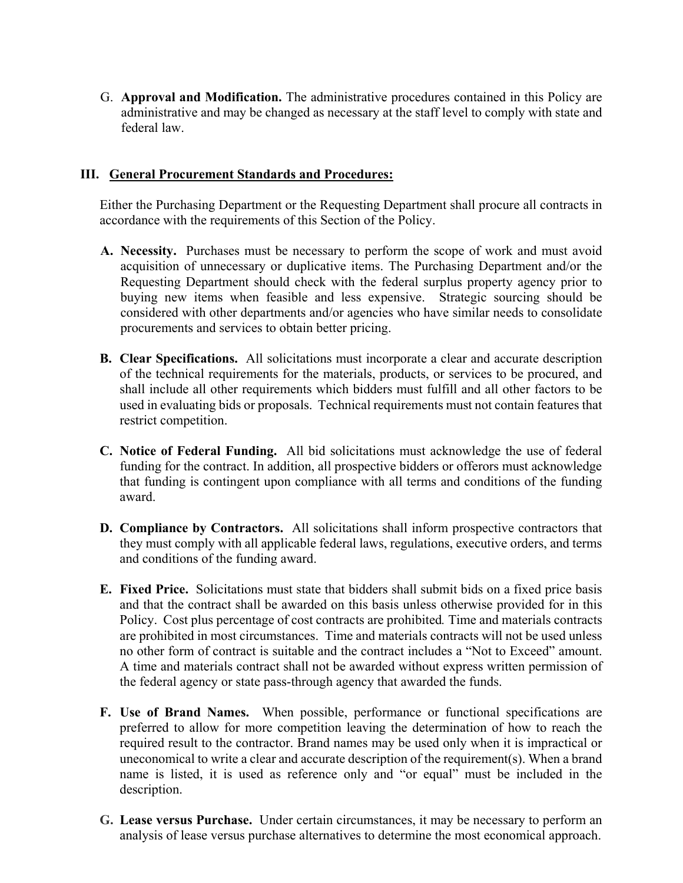G. **Approval and Modification.** The administrative procedures contained in this Policy are administrative and may be changed as necessary at the staff level to comply with state and federal law.

#### **III. General Procurement Standards and Procedures:**

Either the Purchasing Department or the Requesting Department shall procure all contracts in accordance with the requirements of this Section of the Policy.

- **A. Necessity.** Purchases must be necessary to perform the scope of work and must avoid acquisition of unnecessary or duplicative items. The Purchasing Department and/or the Requesting Department should check with the federal surplus property agency prior to buying new items when feasible and less expensive. Strategic sourcing should be considered with other departments and/or agencies who have similar needs to consolidate procurements and services to obtain better pricing.
- **B. Clear Specifications.** All solicitations must incorporate a clear and accurate description of the technical requirements for the materials, products, or services to be procured, and shall include all other requirements which bidders must fulfill and all other factors to be used in evaluating bids or proposals. Technical requirements must not contain features that restrict competition.
- **C. Notice of Federal Funding.** All bid solicitations must acknowledge the use of federal funding for the contract. In addition, all prospective bidders or offerors must acknowledge that funding is contingent upon compliance with all terms and conditions of the funding award.
- **D. Compliance by Contractors.** All solicitations shall inform prospective contractors that they must comply with all applicable federal laws, regulations, executive orders, and terms and conditions of the funding award.
- **E. Fixed Price.** Solicitations must state that bidders shall submit bids on a fixed price basis and that the contract shall be awarded on this basis unless otherwise provided for in this Policy. Cost plus percentage of cost contracts are prohibited*.* Time and materials contracts are prohibited in most circumstances. Time and materials contracts will not be used unless no other form of contract is suitable and the contract includes a "Not to Exceed" amount. A time and materials contract shall not be awarded without express written permission of the federal agency or state pass-through agency that awarded the funds.
- **F. Use of Brand Names.** When possible, performance or functional specifications are preferred to allow for more competition leaving the determination of how to reach the required result to the contractor. Brand names may be used only when it is impractical or uneconomical to write a clear and accurate description of the requirement(s). When a brand name is listed, it is used as reference only and "or equal" must be included in the description.
- **G. Lease versus Purchase.** Under certain circumstances, it may be necessary to perform an analysis of lease versus purchase alternatives to determine the most economical approach.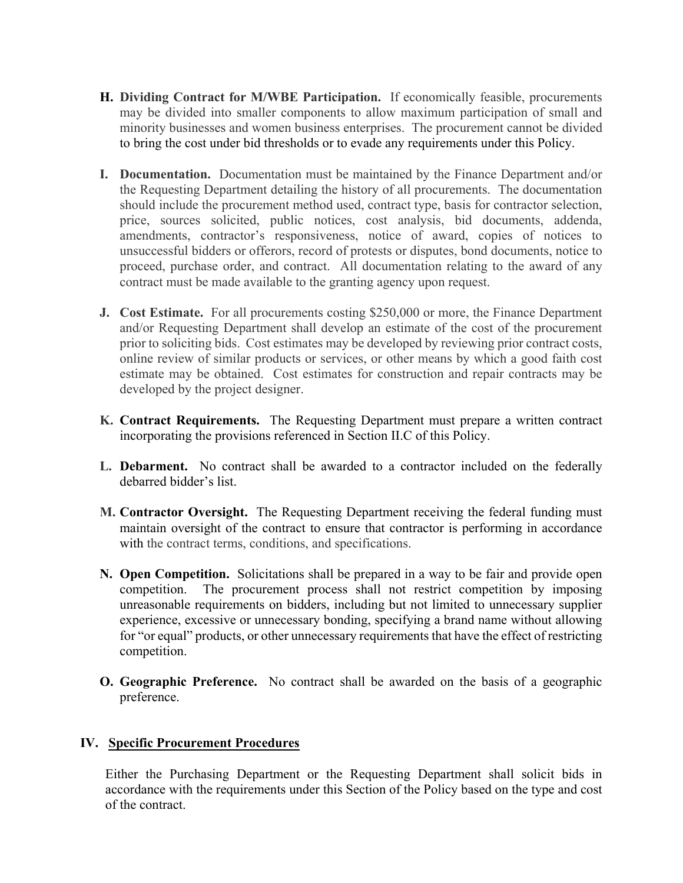- **H. Dividing Contract for M/WBE Participation.** If economically feasible, procurements may be divided into smaller components to allow maximum participation of small and minority businesses and women business enterprises. The procurement cannot be divided to bring the cost under bid thresholds or to evade any requirements under this Policy.
- **I. Documentation.** Documentation must be maintained by the Finance Department and/or the Requesting Department detailing the history of all procurements. The documentation should include the procurement method used, contract type, basis for contractor selection, price, sources solicited, public notices, cost analysis, bid documents, addenda, amendments, contractor's responsiveness, notice of award, copies of notices to unsuccessful bidders or offerors, record of protests or disputes, bond documents, notice to proceed, purchase order, and contract. All documentation relating to the award of any contract must be made available to the granting agency upon request.
- **J. Cost Estimate.** For all procurements costing \$250,000 or more, the Finance Department and/or Requesting Department shall develop an estimate of the cost of the procurement prior to soliciting bids. Cost estimates may be developed by reviewing prior contract costs, online review of similar products or services, or other means by which a good faith cost estimate may be obtained. Cost estimates for construction and repair contracts may be developed by the project designer.
- **K. Contract Requirements.** The Requesting Department must prepare a written contract incorporating the provisions referenced in Section II.C of this Policy.
- **L. Debarment.** No contract shall be awarded to a contractor included on the federally debarred bidder's list.
- **M. Contractor Oversight.** The Requesting Department receiving the federal funding must maintain oversight of the contract to ensure that contractor is performing in accordance with the contract terms, conditions, and specifications.
- **N. Open Competition.** Solicitations shall be prepared in a way to be fair and provide open competition. The procurement process shall not restrict competition by imposing unreasonable requirements on bidders, including but not limited to unnecessary supplier experience, excessive or unnecessary bonding, specifying a brand name without allowing for "or equal" products, or other unnecessary requirements that have the effect of restricting competition.
- **O. Geographic Preference.** No contract shall be awarded on the basis of a geographic preference.

#### **IV. Specific Procurement Procedures**

Either the Purchasing Department or the Requesting Department shall solicit bids in accordance with the requirements under this Section of the Policy based on the type and cost of the contract.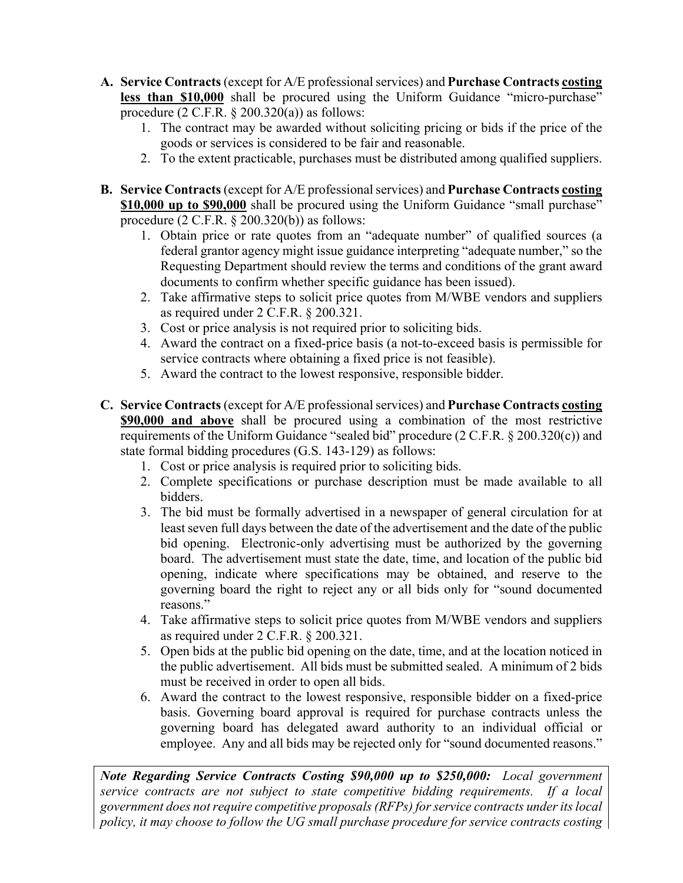- **A. Service Contracts** (except for A/E professional services) and **Purchase Contracts costing less than \$10,000** shall be procured using the Uniform Guidance "micro-purchase" procedure  $(2 \text{ C.F.R. } § 200.320(a))$  as follows:
	- 1. The contract may be awarded without soliciting pricing or bids if the price of the goods or services is considered to be fair and reasonable.
	- 2. To the extent practicable, purchases must be distributed among qualified suppliers.
- **B. Service Contracts** (except for A/E professional services) and **Purchase Contracts costing \$10,000 up to \$90,000** shall be procured using the Uniform Guidance "small purchase" procedure  $(2 \text{ C.F.R. } § 200.320(b))$  as follows:
	- 1. Obtain price or rate quotes from an "adequate number" of qualified sources (a federal grantor agency might issue guidance interpreting "adequate number," so the Requesting Department should review the terms and conditions of the grant award documents to confirm whether specific guidance has been issued).
	- 2. Take affirmative steps to solicit price quotes from M/WBE vendors and suppliers as required under 2 C.F.R. § 200.321.
	- 3. Cost or price analysis is not required prior to soliciting bids.
	- 4. Award the contract on a fixed-price basis (a not-to-exceed basis is permissible for service contracts where obtaining a fixed price is not feasible).
	- 5. Award the contract to the lowest responsive, responsible bidder.
- **C. Service Contracts** (except for A/E professional services) and **Purchase Contracts costing \$90,000 and above** shall be procured using a combination of the most restrictive requirements of the Uniform Guidance "sealed bid" procedure (2 C.F.R. § 200.320(c)) and state formal bidding procedures (G.S. 143-129) as follows:
	- 1. Cost or price analysis is required prior to soliciting bids.
	- 2. Complete specifications or purchase description must be made available to all bidders.
	- 3. The bid must be formally advertised in a newspaper of general circulation for at least seven full days between the date of the advertisement and the date of the public bid opening. Electronic-only advertising must be authorized by the governing board. The advertisement must state the date, time, and location of the public bid opening, indicate where specifications may be obtained, and reserve to the governing board the right to reject any or all bids only for "sound documented reasons."
	- 4. Take affirmative steps to solicit price quotes from M/WBE vendors and suppliers as required under 2 C.F.R. § 200.321.
	- 5. Open bids at the public bid opening on the date, time, and at the location noticed in the public advertisement. All bids must be submitted sealed. A minimum of 2 bids must be received in order to open all bids.
	- 6. Award the contract to the lowest responsive, responsible bidder on a fixed-price basis. Governing board approval is required for purchase contracts unless the governing board has delegated award authority to an individual official or employee. Any and all bids may be rejected only for "sound documented reasons."

*Note Regarding Service Contracts Costing \$90,000 up to \$250,000: Local government service contracts are not subject to state competitive bidding requirements. If a local government does not require competitive proposals (RFPs) for service contracts under its local policy, it may choose to follow the UG small purchase procedure for service contracts costing*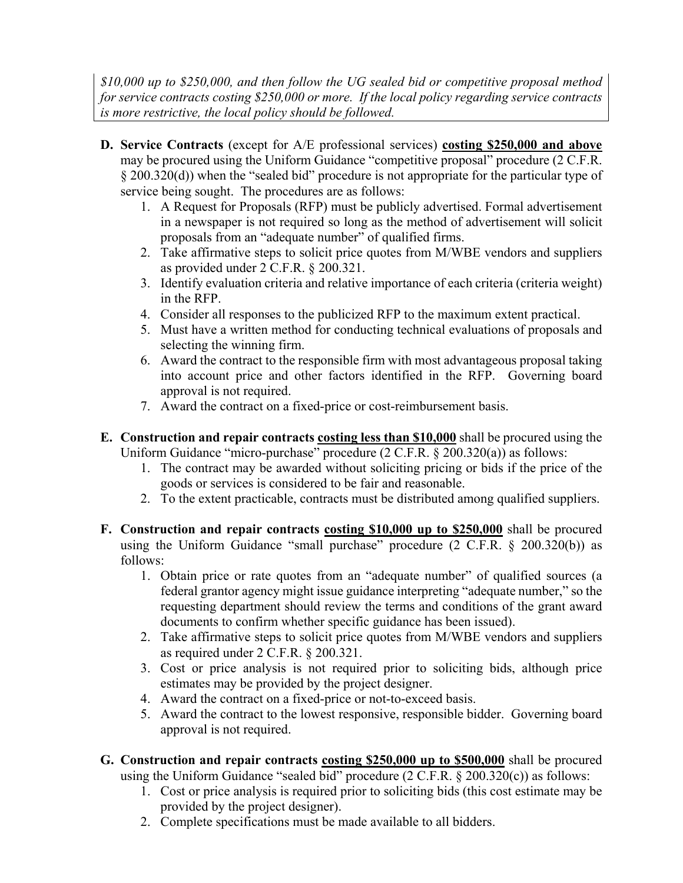*\$10,000 up to \$250,000, and then follow the UG sealed bid or competitive proposal method for service contracts costing \$250,000 or more. If the local policy regarding service contracts is more restrictive, the local policy should be followed.* 

- **D. Service Contracts** (except for A/E professional services) **costing \$250,000 and above** may be procured using the Uniform Guidance "competitive proposal" procedure (2 C.F.R. § 200.320(d)) when the "sealed bid" procedure is not appropriate for the particular type of service being sought. The procedures are as follows:
	- 1. A Request for Proposals (RFP) must be publicly advertised. Formal advertisement in a newspaper is not required so long as the method of advertisement will solicit proposals from an "adequate number" of qualified firms.
	- 2. Take affirmative steps to solicit price quotes from M/WBE vendors and suppliers as provided under 2 C.F.R. § 200.321.
	- 3. Identify evaluation criteria and relative importance of each criteria (criteria weight) in the RFP.
	- 4. Consider all responses to the publicized RFP to the maximum extent practical.
	- 5. Must have a written method for conducting technical evaluations of proposals and selecting the winning firm.
	- 6. Award the contract to the responsible firm with most advantageous proposal taking into account price and other factors identified in the RFP. Governing board approval is not required.
	- 7. Award the contract on a fixed-price or cost-reimbursement basis.
- **E. Construction and repair contracts costing less than \$10,000** shall be procured using the Uniform Guidance "micro-purchase" procedure (2 C.F.R. § 200.320(a)) as follows:
	- 1. The contract may be awarded without soliciting pricing or bids if the price of the goods or services is considered to be fair and reasonable.
	- 2. To the extent practicable, contracts must be distributed among qualified suppliers.
- **F. Construction and repair contracts costing \$10,000 up to \$250,000** shall be procured using the Uniform Guidance "small purchase" procedure  $(2 \text{ C.F.R. } § 200.320(b))$  as follows:
	- 1. Obtain price or rate quotes from an "adequate number" of qualified sources (a federal grantor agency might issue guidance interpreting "adequate number," so the requesting department should review the terms and conditions of the grant award documents to confirm whether specific guidance has been issued).
	- 2. Take affirmative steps to solicit price quotes from M/WBE vendors and suppliers as required under 2 C.F.R. § 200.321.
	- 3. Cost or price analysis is not required prior to soliciting bids, although price estimates may be provided by the project designer.
	- 4. Award the contract on a fixed-price or not-to-exceed basis.
	- 5. Award the contract to the lowest responsive, responsible bidder. Governing board approval is not required.
- **G. Construction and repair contracts costing \$250,000 up to \$500,000** shall be procured using the Uniform Guidance "sealed bid" procedure  $(2 \text{ C.F.R. } § 200.320(c))$  as follows:
	- 1. Cost or price analysis is required prior to soliciting bids (this cost estimate may be provided by the project designer).
	- 2. Complete specifications must be made available to all bidders.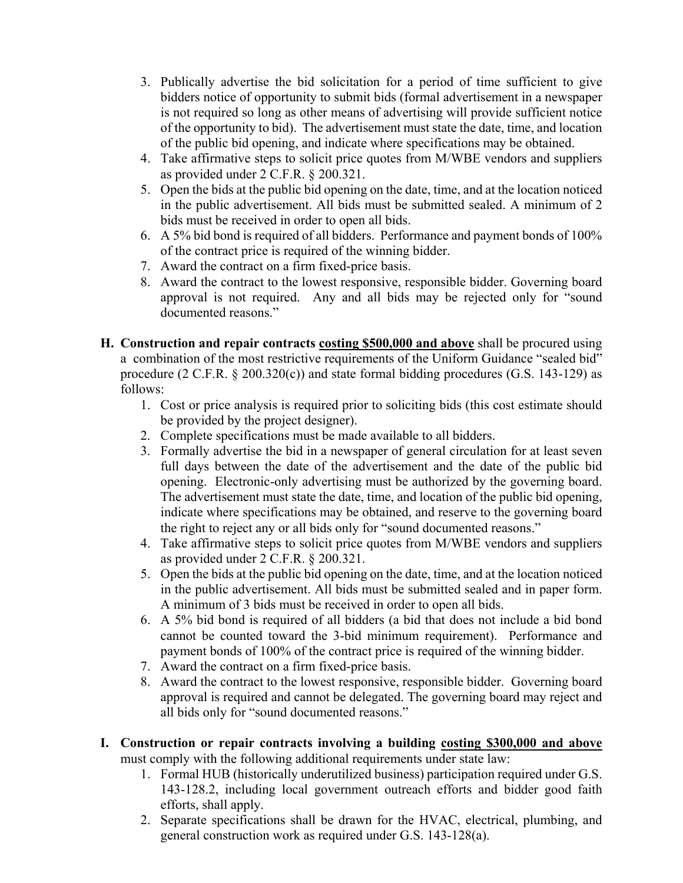- 3. Publically advertise the bid solicitation for a period of time sufficient to give bidders notice of opportunity to submit bids (formal advertisement in a newspaper is not required so long as other means of advertising will provide sufficient notice of the opportunity to bid). The advertisement must state the date, time, and location of the public bid opening, and indicate where specifications may be obtained.
- 4. Take affirmative steps to solicit price quotes from M/WBE vendors and suppliers as provided under 2 C.F.R. § 200.321.
- 5. Open the bids at the public bid opening on the date, time, and at the location noticed in the public advertisement. All bids must be submitted sealed. A minimum of 2 bids must be received in order to open all bids.
- 6. A 5% bid bond is required of all bidders. Performance and payment bonds of 100% of the contract price is required of the winning bidder.
- 7. Award the contract on a firm fixed-price basis.
- 8. Award the contract to the lowest responsive, responsible bidder. Governing board approval is not required. Any and all bids may be rejected only for "sound documented reasons."
- **H. Construction and repair contracts costing \$500,000 and above** shall be procured using a combination of the most restrictive requirements of the Uniform Guidance "sealed bid" procedure (2 C.F.R.  $\S 200.320(c)$ ) and state formal bidding procedures (G.S. 143-129) as follows:
	- 1. Cost or price analysis is required prior to soliciting bids (this cost estimate should be provided by the project designer).
	- 2. Complete specifications must be made available to all bidders.
	- 3. Formally advertise the bid in a newspaper of general circulation for at least seven full days between the date of the advertisement and the date of the public bid opening. Electronic-only advertising must be authorized by the governing board. The advertisement must state the date, time, and location of the public bid opening, indicate where specifications may be obtained, and reserve to the governing board the right to reject any or all bids only for "sound documented reasons."
	- 4. Take affirmative steps to solicit price quotes from M/WBE vendors and suppliers as provided under 2 C.F.R. § 200.321.
	- 5. Open the bids at the public bid opening on the date, time, and at the location noticed in the public advertisement. All bids must be submitted sealed and in paper form. A minimum of 3 bids must be received in order to open all bids.
	- 6. A 5% bid bond is required of all bidders (a bid that does not include a bid bond cannot be counted toward the 3-bid minimum requirement). Performance and payment bonds of 100% of the contract price is required of the winning bidder.
	- 7. Award the contract on a firm fixed-price basis.
	- 8. Award the contract to the lowest responsive, responsible bidder. Governing board approval is required and cannot be delegated. The governing board may reject and all bids only for "sound documented reasons."
- **I. Construction or repair contracts involving a building costing \$300,000 and above** must comply with the following additional requirements under state law:
	- 1. Formal HUB (historically underutilized business) participation required under G.S. 143-128.2, including local government outreach efforts and bidder good faith efforts, shall apply.
	- 2. Separate specifications shall be drawn for the HVAC, electrical, plumbing, and general construction work as required under G.S. 143-128(a).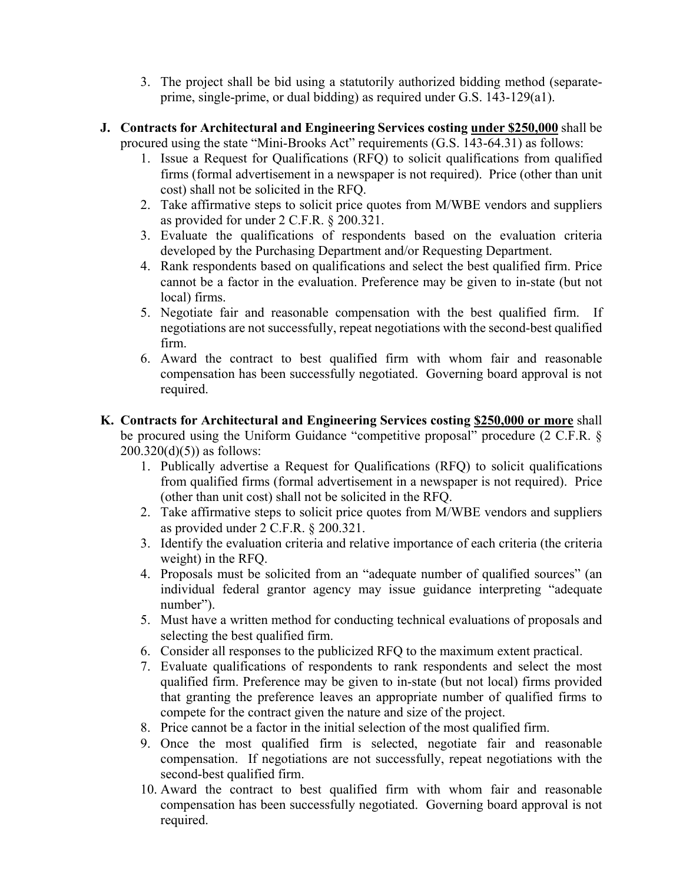- 3. The project shall be bid using a statutorily authorized bidding method (separateprime, single-prime, or dual bidding) as required under G.S. 143-129(a1).
- **J. Contracts for Architectural and Engineering Services costing under \$250,000** shall be procured using the state "Mini-Brooks Act" requirements (G.S. 143-64.31) as follows:
	- 1. Issue a Request for Qualifications (RFQ) to solicit qualifications from qualified firms (formal advertisement in a newspaper is not required). Price (other than unit cost) shall not be solicited in the RFQ.
	- 2. Take affirmative steps to solicit price quotes from M/WBE vendors and suppliers as provided for under 2 C.F.R. § 200.321.
	- 3. Evaluate the qualifications of respondents based on the evaluation criteria developed by the Purchasing Department and/or Requesting Department.
	- 4. Rank respondents based on qualifications and select the best qualified firm. Price cannot be a factor in the evaluation. Preference may be given to in-state (but not local) firms.
	- 5. Negotiate fair and reasonable compensation with the best qualified firm. If negotiations are not successfully, repeat negotiations with the second-best qualified firm.
	- 6. Award the contract to best qualified firm with whom fair and reasonable compensation has been successfully negotiated. Governing board approval is not required.
- **K. Contracts for Architectural and Engineering Services costing \$250,000 or more** shall be procured using the Uniform Guidance "competitive proposal" procedure (2 C.F.R. §  $200.320(d)(5)$  as follows:
	- 1. Publically advertise a Request for Qualifications (RFQ) to solicit qualifications from qualified firms (formal advertisement in a newspaper is not required). Price (other than unit cost) shall not be solicited in the RFQ.
	- 2. Take affirmative steps to solicit price quotes from M/WBE vendors and suppliers as provided under 2 C.F.R. § 200.321.
	- 3. Identify the evaluation criteria and relative importance of each criteria (the criteria weight) in the RFQ.
	- 4. Proposals must be solicited from an "adequate number of qualified sources" (an individual federal grantor agency may issue guidance interpreting "adequate number").
	- 5. Must have a written method for conducting technical evaluations of proposals and selecting the best qualified firm.
	- 6. Consider all responses to the publicized RFQ to the maximum extent practical.
	- 7. Evaluate qualifications of respondents to rank respondents and select the most qualified firm. Preference may be given to in-state (but not local) firms provided that granting the preference leaves an appropriate number of qualified firms to compete for the contract given the nature and size of the project.
	- 8. Price cannot be a factor in the initial selection of the most qualified firm.
	- 9. Once the most qualified firm is selected, negotiate fair and reasonable compensation. If negotiations are not successfully, repeat negotiations with the second-best qualified firm.
	- 10. Award the contract to best qualified firm with whom fair and reasonable compensation has been successfully negotiated. Governing board approval is not required.